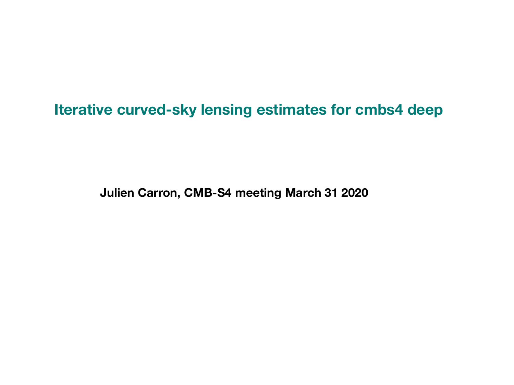#### **Iterative curved-sky lensing estimates for cmbs4 deep**

**Julien Carron, CMB-S4 meeting March 31 2020**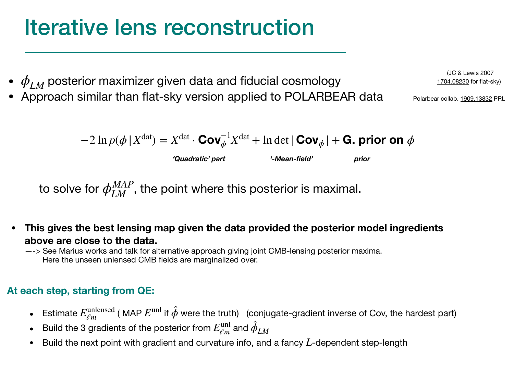#### Iterative lens reconstruction

- $\bullet$   $\phi_{LM}$  posterior maximizer given data and fiducial cosmology
- Approach similar than flat-sky version applied to POLARBEAR data

 $-2 \ln p(\phi | X^{\text{dat}}) = X^{\text{dat}} \cdot \text{Cov}_{\phi}^{-1} X^{\text{dat}} + \ln \det |\text{Cov}_{\phi}| + \text{G. prior on }\phi$ 

*'Quadratic' part '-Mean-field' prior*

to solve for  $\phi_{LM}^{MAP}$ , the point where this posterior is maximal.

**• This gives the best lensing map given the data provided the posterior model ingredients above are close to the data.** 

—-> See Marius works and talk for alternative approach giving joint CMB-lensing posterior maxima. Here the unseen unlensed CMB fields are marginalized over.

#### **At each step, starting from QE:**

- Estimate  $E_{\ell m}^{\text{unlensed}}$  (MAP  $E^{\text{unl}}$  if  $\hat{\phi}$  were the truth) (conjugate-gradient inverse of Cov, the hardest part)
- Build the 3 gradients of the posterior from  $E_{\ell m}^{\mathrm{unl}}$  and  $\hat{\phi}_{LM}$
- $\bullet$  Build the next point with gradient and curvature info, and a fancy  $L$ -dependent step-length

(JC & Lewis 2007 [1704.08230](https://arxiv.org/abs/1704.08230) for flat-sky)

Polarbear collab. [1909.13832](https://arxiv.org/abs/1909.13832) PRL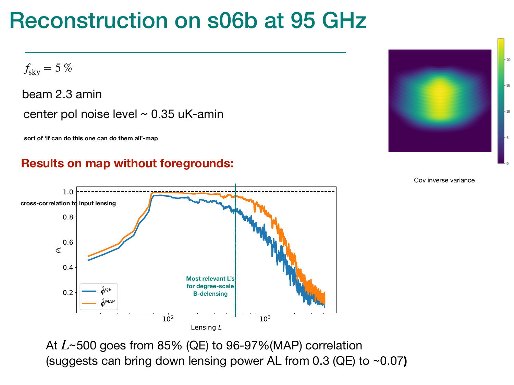## Reconstruction on s06b at 95 GHz

 $f_{\rm sky} = 5\,\%$ 

beam 2.3 amin

center pol noise level  $\sim$  0.35 uK-amin

**sort of 'if can do this one can do them all'-map**

#### **Results on map without foregrounds:**

 $1.0$ **cross-correlation to input lensing** $0.8$  $0.6$  $\rho_L$  $0.4$ **Most relevant L's for degree-scale**  ÀQE  $0.2$ **B-delensing**  $10<sup>2</sup>$  $10<sup>3</sup>$ Lensing L

At  $L$ ~500 goes from 85% (QE) to 96-97%(MAP) correlation (suggests can bring down lensing power AL from 0.3 (QE) to ~0.07**)**



Cov inverse variance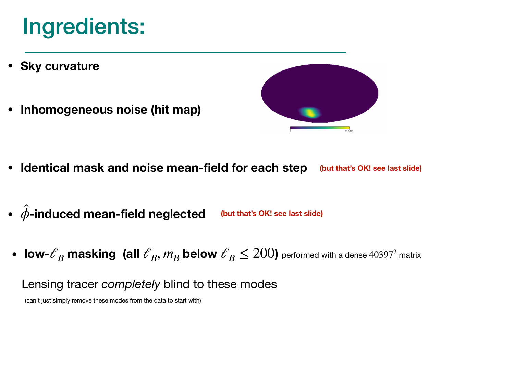### Ingredients:

- **• Sky curvature**
- **• Inhomogeneous noise (hit map)**



- **• Identical mask and noise mean-field for each step (but that's OK! see last slide)**
- **• -induced mean-field neglected** *ϕ* ̂ **(but that's OK! see last slide)**
- **low-**  $\ell_B$  masking (all  $\ell_B$ ,  $m_B$  below  $\ell_B \le 200$ ) performed with a dense 40397<sup>2</sup> matrix

Lensing tracer *completely* blind to these modes

(can't just simply remove these modes from the data to start with)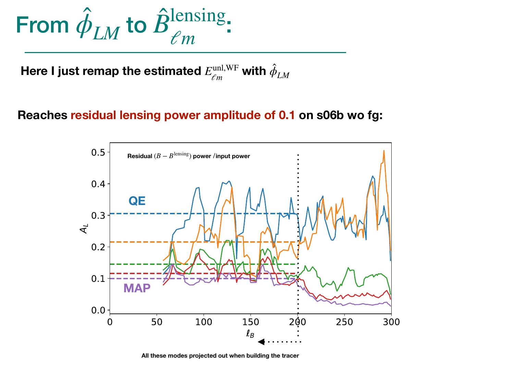

**Here I just remap the estimated**  $E_{\ell m}^{\text{unl,WF}}$  with  $\hat{\phi}_{LM}$ 

#### **Reaches residual lensing power amplitude of 0.1 on s06b wo fg:**



**All these modes projected out when building the tracer**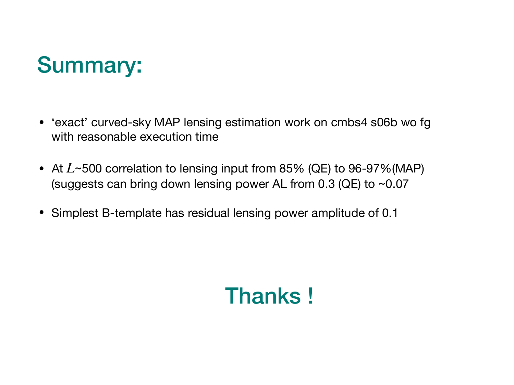## Summary:

- 'exact' curved-sky MAP lensing estimation work on cmbs4 s06b wo fg with reasonable execution time
- At  $L$ ~500 correlation to lensing input from 85% (QE) to 96-97%(MAP) (suggests can bring down lensing power AL from 0.3 (QE) to ~0.07
- Simplest B-template has residual lensing power amplitude of 0.1

# Thanks !